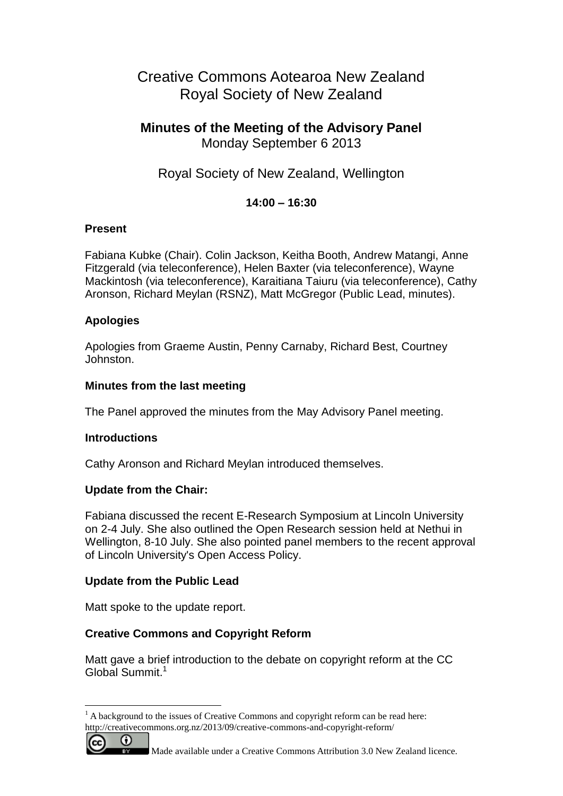# Creative Commons Aotearoa New Zealand Royal Society of New Zealand

## **Minutes of the Meeting of the Advisory Panel** Monday September 6 2013

Royal Society of New Zealand, Wellington

## **14:00 – 16:30**

### **Present**

Fabiana Kubke (Chair). Colin Jackson, Keitha Booth, Andrew Matangi, Anne Fitzgerald (via teleconference), Helen Baxter (via teleconference), Wayne Mackintosh (via teleconference), Karaitiana Taiuru (via teleconference), Cathy Aronson, Richard Meylan (RSNZ), Matt McGregor (Public Lead, minutes).

## **Apologies**

Apologies from Graeme Austin, Penny Carnaby, Richard Best, Courtney Johnston.

### **Minutes from the last meeting**

The Panel approved the minutes from the May Advisory Panel meeting.

#### **Introductions**

Cathy Aronson and Richard Meylan introduced themselves.

## **Update from the Chair:**

Fabiana discussed the recent E-Research Symposium at Lincoln University on 2-4 July. She also outlined the Open Research session held at Nethui in Wellington, 8-10 July. She also pointed panel members to the recent approval of Lincoln University's Open Access Policy.

## **Update from the Public Lead**

Matt spoke to the update report.

## **Creative Commons and Copyright Reform**

Matt gave a brief introduction to the debate on copyright reform at the CC Global Summit.<sup>1</sup>

 $<sup>1</sup>$  A background to the issues of Creative Commons and copyright reform can be read here:</sup>





 $\overline{a}$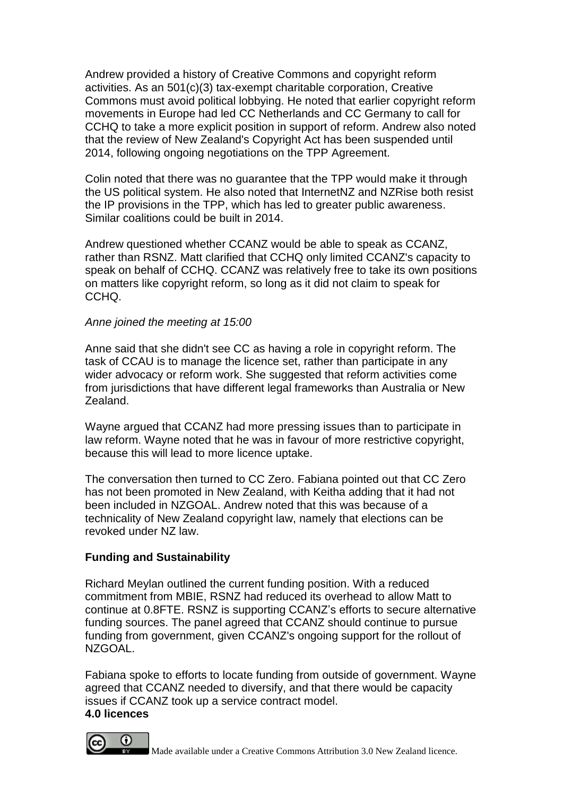Andrew provided a history of Creative Commons and copyright reform activities. As an 501(c)(3) tax-exempt charitable corporation, Creative Commons must avoid political lobbying. He noted that earlier copyright reform movements in Europe had led CC Netherlands and CC Germany to call for CCHQ to take a more explicit position in support of reform. Andrew also noted that the review of New Zealand's Copyright Act has been suspended until 2014, following ongoing negotiations on the TPP Agreement.

Colin noted that there was no guarantee that the TPP would make it through the US political system. He also noted that InternetNZ and NZRise both resist the IP provisions in the TPP, which has led to greater public awareness. Similar coalitions could be built in 2014.

Andrew questioned whether CCANZ would be able to speak as CCANZ, rather than RSNZ. Matt clarified that CCHQ only limited CCANZ's capacity to speak on behalf of CCHQ. CCANZ was relatively free to take its own positions on matters like copyright reform, so long as it did not claim to speak for CCHQ.

#### *Anne joined the meeting at 15:00*

Anne said that she didn't see CC as having a role in copyright reform. The task of CCAU is to manage the licence set, rather than participate in any wider advocacy or reform work. She suggested that reform activities come from jurisdictions that have different legal frameworks than Australia or New Zealand.

Wayne argued that CCANZ had more pressing issues than to participate in law reform. Wayne noted that he was in favour of more restrictive copyright, because this will lead to more licence uptake.

The conversation then turned to CC Zero. Fabiana pointed out that CC Zero has not been promoted in New Zealand, with Keitha adding that it had not been included in NZGOAL. Andrew noted that this was because of a technicality of New Zealand copyright law, namely that elections can be revoked under NZ law.

## **Funding and Sustainability**

Richard Meylan outlined the current funding position. With a reduced commitment from MBIE, RSNZ had reduced its overhead to allow Matt to continue at 0.8FTE. RSNZ is supporting CCANZ's efforts to secure alternative funding sources. The panel agreed that CCANZ should continue to pursue funding from government, given CCANZ's ongoing support for the rollout of NZGOAL.

Fabiana spoke to efforts to locate funding from outside of government. Wayne agreed that CCANZ needed to diversify, and that there would be capacity issues if CCANZ took up a service contract model.

#### **4.0 licences**